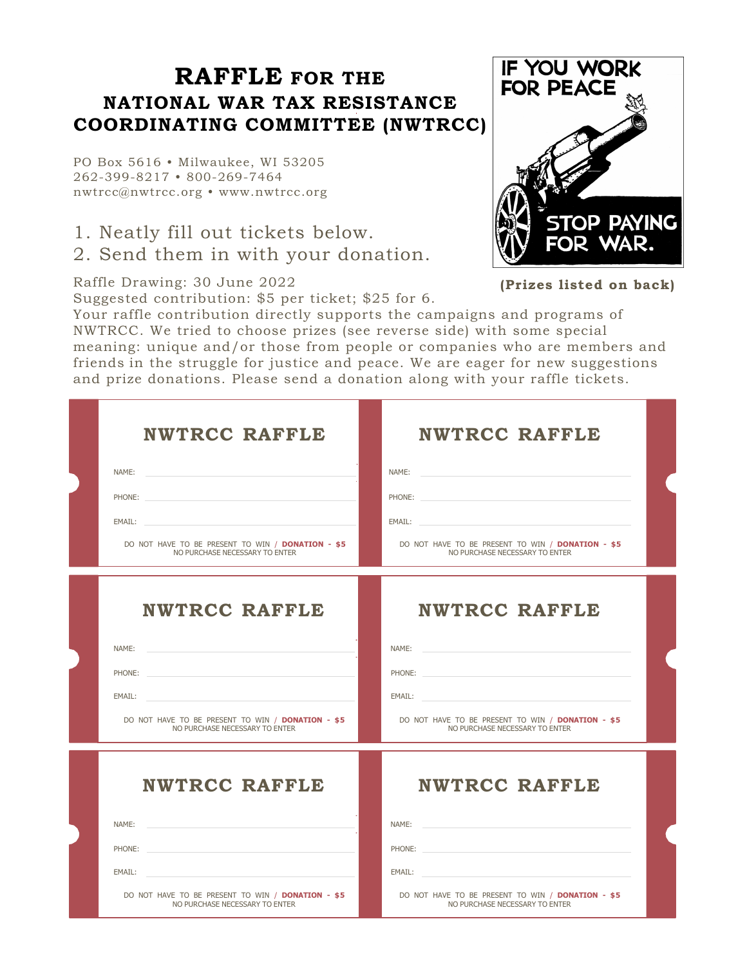## **RAFFLE FOR THE NATIONAL WAR TAX RESISTANCE COORDINATING COMMITTEE (NWTRCC)**

PO Box 5616 • Milwaukee, WI 53205 262-399-8217 • 800-269-7464 nwtrcc@nwtrcc.org • www.nwtrcc.org

1. Neatly fill out tickets below. 2. Send them in with your donation.

Raffle Drawing: 30 June 2022

Suggested contribution: \$5 per ticket; \$25 for 6.



**(Prizes listed on back)**

Your raffle contribution directly supports the campaigns and programs of NWTRCC. We tried to choose prizes (see reverse side) with some special meaning: unique and/or those from people or companies who are members and friends in the struggle for justice and peace. We are eager for new suggestions and prize donations. Please send a donation along with your raffle tickets.

| <b>NWTRCC RAFFLE</b><br>NAME:<br><u> 1989 - John Stein, Amerikaansk politiker (</u><br>PHONE:<br>EMAIL: The contract of the contract of the contract of the contract of the contract of the contract of the contract of the contract of the contract of the contract of the contract of the contract of the contract of the con<br>DO NOT HAVE TO BE PRESENT TO WIN / DONATION - \$5<br>NO PURCHASE NECESSARY TO ENTER | <b>NWTRCC RAFFLE</b><br>NAME:<br>EMAIL: The contract of the contract of the contract of the contract of the contract of the contract of the contract of the contract of the contract of the contract of the contract of the contract of the contract of the con<br>DO NOT HAVE TO BE PRESENT TO WIN / DONATION - \$5<br>NO PURCHASE NECESSARY TO ENTER |  |
|------------------------------------------------------------------------------------------------------------------------------------------------------------------------------------------------------------------------------------------------------------------------------------------------------------------------------------------------------------------------------------------------------------------------|--------------------------------------------------------------------------------------------------------------------------------------------------------------------------------------------------------------------------------------------------------------------------------------------------------------------------------------------------------|--|
| <b>NWTRCC RAFFLE</b><br>NAME:<br>PHONE:<br>EMAIL:<br>DO NOT HAVE TO BE PRESENT TO WIN / DONATION - \$5<br>NO PURCHASE NECESSARY TO ENTER                                                                                                                                                                                                                                                                               | <b>NWTRCC RAFFLE</b><br>NAME:<br>PHONE:<br>EMAIL:<br>DO NOT HAVE TO BE PRESENT TO WIN / DONATION - \$5<br>NO PURCHASE NECESSARY TO ENTER                                                                                                                                                                                                               |  |
| <b>NWTRCC RAFFLE</b><br>NAME:<br>PHONE:<br>EMAIL:<br>DO NOT HAVE TO BE PRESENT TO WIN / DONATION - \$5<br>NO PURCHASE NECESSARY TO ENTER                                                                                                                                                                                                                                                                               | <b>NWTRCC RAFFLE</b><br>NAME:<br>PHONE:<br>EMAIL:<br>DO NOT HAVE TO BE PRESENT TO WIN / DONATION - \$5<br>NO PURCHASE NECESSARY TO ENTER                                                                                                                                                                                                               |  |